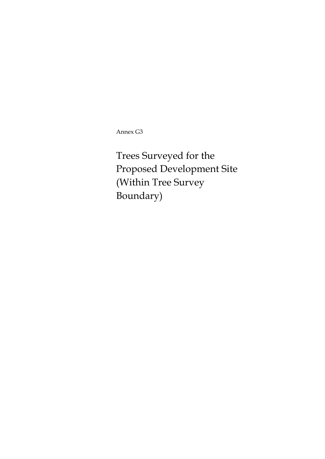Annex G3

Trees Surveyed for the Proposed Development Site (Within Tree Survey Boundary)